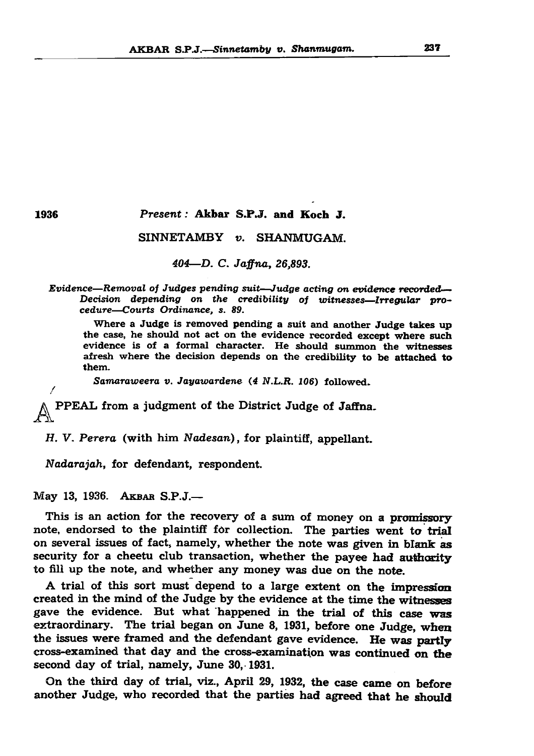#### AK B AR S.P.J.—*Sinnetamby v. Shanmugam.* 237

1936 *Present:* Akbar S.P.J. and Koch J.

# SINNETAMBY *v.* SHANMUGAM.

## *404—D. C. Jaffna, 26,893.*

*Evidence—Removal of Judges pending suit—Judge acting on evidence recorded*— *Decision depending on the credibility of witnesses—Irregular procedure—Courts Ordinance, s. 89.*

Where a Judge is removed pending a suit and another Judge takes up the case, he should not act on the evidence recorded except where such evidence is of a formal character. He should summon the witnesses afresh where the decision depends on the credibility to be attached to them.

*Samaraweera v. Jayawardene* (4 *N.L.R. 106*) followed.

PPEAL from a judgment of the District Judge of Jaffna.

*H. V. Perera* (with him *Nadesan*), for plaintiff, appellant.

*Nadarajah,* for defendant, respondent.

May 13, 1936. AKBAR S.P.J.—

On the third day of trial, viz., April 29, 1932, the case came on before another Judge, who recorded that the parties had agreed that he should

This is an action for the recovery of a sum of money on a promissory note, endorsed to the plaintiff for collection. The parties went to trial on several issues of fact, namely, whether the note was given in blank as security for a cheetu club transaction, whether the payee had authority to fill up the note, and whether any money was due on the note.

A trial of this sort must depend to a large extent on the impression created in the mind of the Judge by the evidence at the time the witnesses

gave the evidence. But what happened in the trial of this case was extraordinary. The trial began on June 8, 1931, before one Judge, when the issues were framed and the defendant gave evidence. He was partly cross-examined that day and the cross-examination was continued on the second day of trial, namely, June 30,-1931.